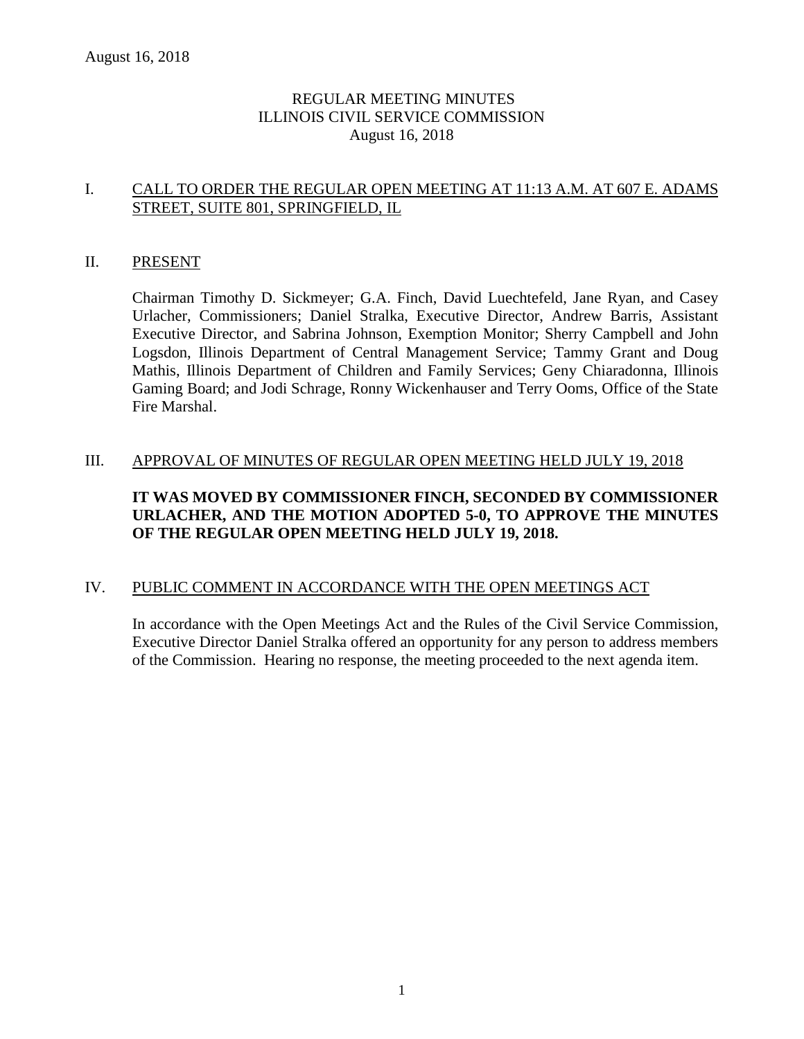# REGULAR MEETING MINUTES ILLINOIS CIVIL SERVICE COMMISSION August 16, 2018

# I. CALL TO ORDER THE REGULAR OPEN MEETING AT 11:13 A.M. AT 607 E. ADAMS STREET, SUITE 801, SPRINGFIELD, IL

#### II. PRESENT

Chairman Timothy D. Sickmeyer; G.A. Finch, David Luechtefeld, Jane Ryan, and Casey Urlacher, Commissioners; Daniel Stralka, Executive Director, Andrew Barris, Assistant Executive Director, and Sabrina Johnson, Exemption Monitor; Sherry Campbell and John Logsdon, Illinois Department of Central Management Service; Tammy Grant and Doug Mathis, Illinois Department of Children and Family Services; Geny Chiaradonna, Illinois Gaming Board; and Jodi Schrage, Ronny Wickenhauser and Terry Ooms, Office of the State Fire Marshal.

### III. APPROVAL OF MINUTES OF REGULAR OPEN MEETING HELD JULY 19, 2018

# **IT WAS MOVED BY COMMISSIONER FINCH, SECONDED BY COMMISSIONER URLACHER, AND THE MOTION ADOPTED 5-0, TO APPROVE THE MINUTES OF THE REGULAR OPEN MEETING HELD JULY 19, 2018.**

### IV. PUBLIC COMMENT IN ACCORDANCE WITH THE OPEN MEETINGS ACT

In accordance with the Open Meetings Act and the Rules of the Civil Service Commission, Executive Director Daniel Stralka offered an opportunity for any person to address members of the Commission. Hearing no response, the meeting proceeded to the next agenda item.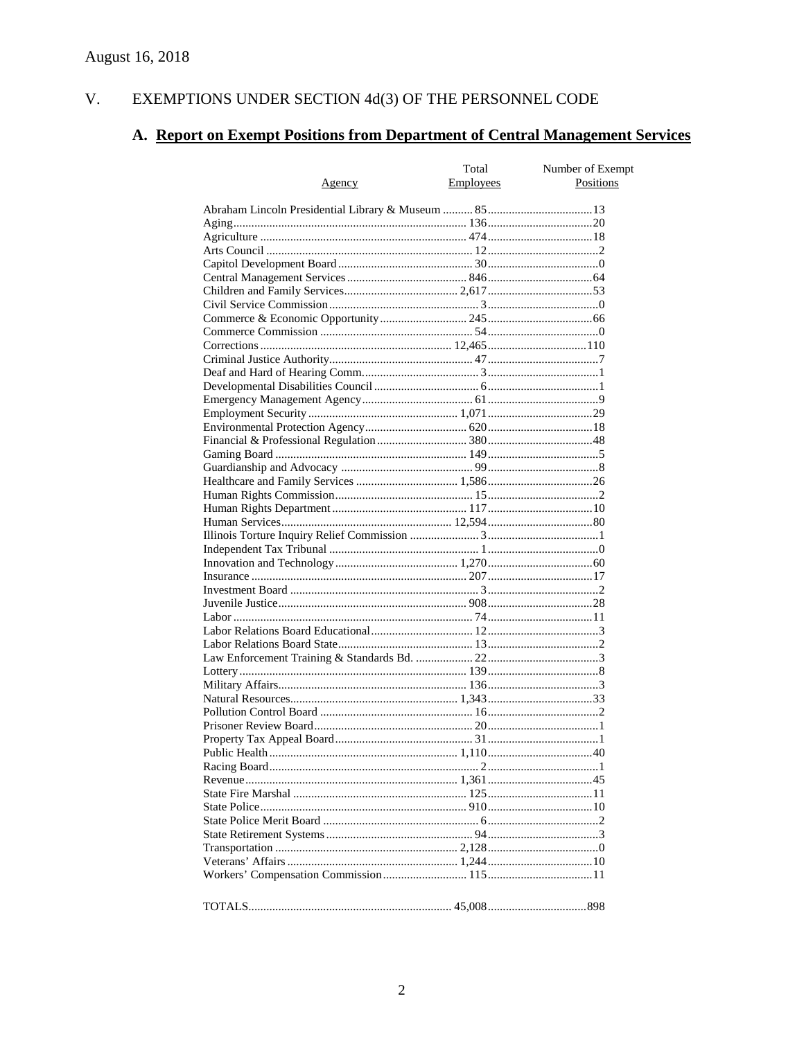#### V. EXEMPTIONS UNDER SECTION  $4d(3)$  OF THE PERSONNEL CODE

# A. Report on Exempt Positions from Department of Central Management Services

|               | Total            | Number of Exempt |  |  |  |
|---------------|------------------|------------------|--|--|--|
| <u>Agency</u> | <b>Employees</b> | Positions        |  |  |  |
|               |                  |                  |  |  |  |
|               |                  |                  |  |  |  |
|               |                  |                  |  |  |  |
|               |                  |                  |  |  |  |
|               |                  |                  |  |  |  |
|               |                  |                  |  |  |  |
|               |                  |                  |  |  |  |
|               |                  |                  |  |  |  |
|               |                  |                  |  |  |  |
|               |                  |                  |  |  |  |
|               |                  |                  |  |  |  |
|               |                  |                  |  |  |  |
|               |                  |                  |  |  |  |
|               |                  |                  |  |  |  |
|               |                  |                  |  |  |  |
|               |                  |                  |  |  |  |
|               |                  |                  |  |  |  |
|               |                  |                  |  |  |  |
|               |                  |                  |  |  |  |
|               |                  |                  |  |  |  |
|               |                  |                  |  |  |  |
|               |                  |                  |  |  |  |
|               |                  |                  |  |  |  |
|               |                  |                  |  |  |  |
|               |                  |                  |  |  |  |
|               |                  |                  |  |  |  |
|               |                  |                  |  |  |  |
|               |                  |                  |  |  |  |
|               |                  |                  |  |  |  |
|               |                  |                  |  |  |  |
|               |                  |                  |  |  |  |
|               |                  |                  |  |  |  |
|               |                  |                  |  |  |  |
|               |                  |                  |  |  |  |
|               |                  |                  |  |  |  |
|               |                  |                  |  |  |  |
|               |                  |                  |  |  |  |
|               |                  |                  |  |  |  |
|               |                  |                  |  |  |  |
|               |                  |                  |  |  |  |
|               |                  |                  |  |  |  |
|               |                  |                  |  |  |  |
|               |                  |                  |  |  |  |
|               |                  |                  |  |  |  |
|               |                  |                  |  |  |  |
|               |                  |                  |  |  |  |
|               |                  |                  |  |  |  |
|               |                  |                  |  |  |  |
|               |                  |                  |  |  |  |
|               |                  |                  |  |  |  |
|               |                  |                  |  |  |  |
|               |                  |                  |  |  |  |
|               |                  |                  |  |  |  |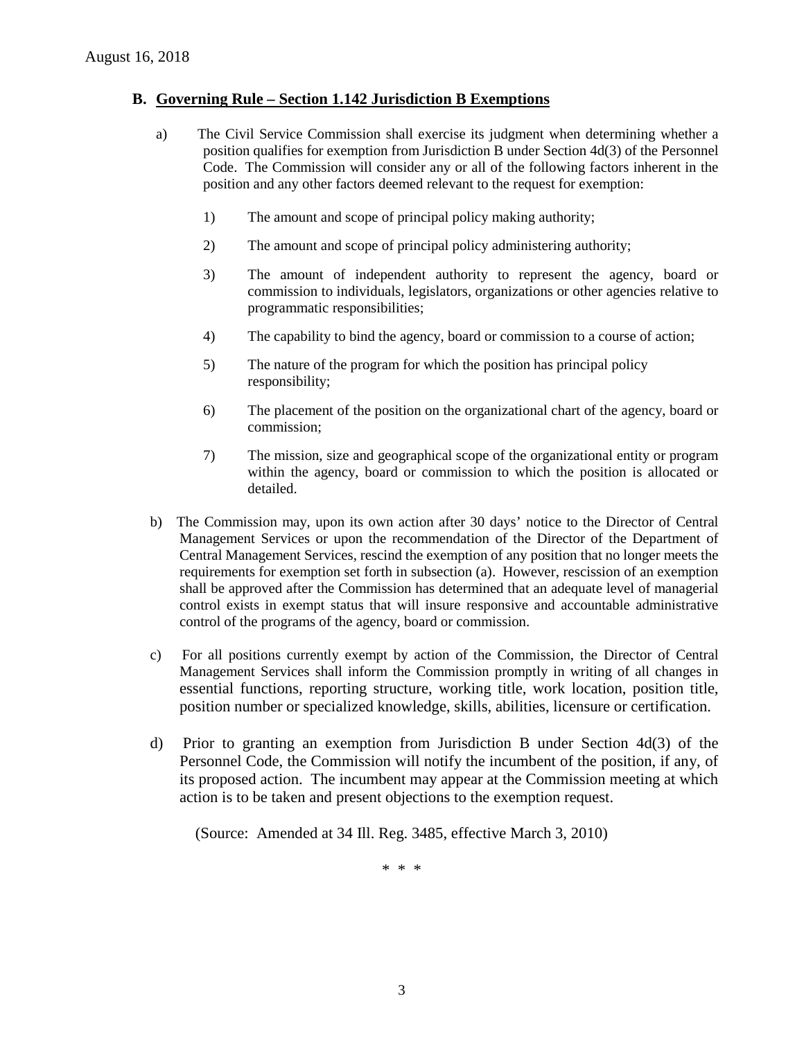## **B. Governing Rule – Section 1.142 Jurisdiction B Exemptions**

- a) The Civil Service Commission shall exercise its judgment when determining whether a position qualifies for exemption from Jurisdiction B under Section 4d(3) of the Personnel Code. The Commission will consider any or all of the following factors inherent in the position and any other factors deemed relevant to the request for exemption:
	- 1) The amount and scope of principal policy making authority;
	- 2) The amount and scope of principal policy administering authority;
	- 3) The amount of independent authority to represent the agency, board or commission to individuals, legislators, organizations or other agencies relative to programmatic responsibilities;
	- 4) The capability to bind the agency, board or commission to a course of action;
	- 5) The nature of the program for which the position has principal policy responsibility;
	- 6) The placement of the position on the organizational chart of the agency, board or commission;
	- 7) The mission, size and geographical scope of the organizational entity or program within the agency, board or commission to which the position is allocated or detailed.
- b) The Commission may, upon its own action after 30 days' notice to the Director of Central Management Services or upon the recommendation of the Director of the Department of Central Management Services, rescind the exemption of any position that no longer meets the requirements for exemption set forth in subsection (a). However, rescission of an exemption shall be approved after the Commission has determined that an adequate level of managerial control exists in exempt status that will insure responsive and accountable administrative control of the programs of the agency, board or commission.
- c) For all positions currently exempt by action of the Commission, the Director of Central Management Services shall inform the Commission promptly in writing of all changes in essential functions, reporting structure, working title, work location, position title, position number or specialized knowledge, skills, abilities, licensure or certification.
- d) Prior to granting an exemption from Jurisdiction B under Section 4d(3) of the Personnel Code, the Commission will notify the incumbent of the position, if any, of its proposed action. The incumbent may appear at the Commission meeting at which action is to be taken and present objections to the exemption request.

(Source: Amended at 34 Ill. Reg. 3485, effective March 3, 2010)

\* \* \*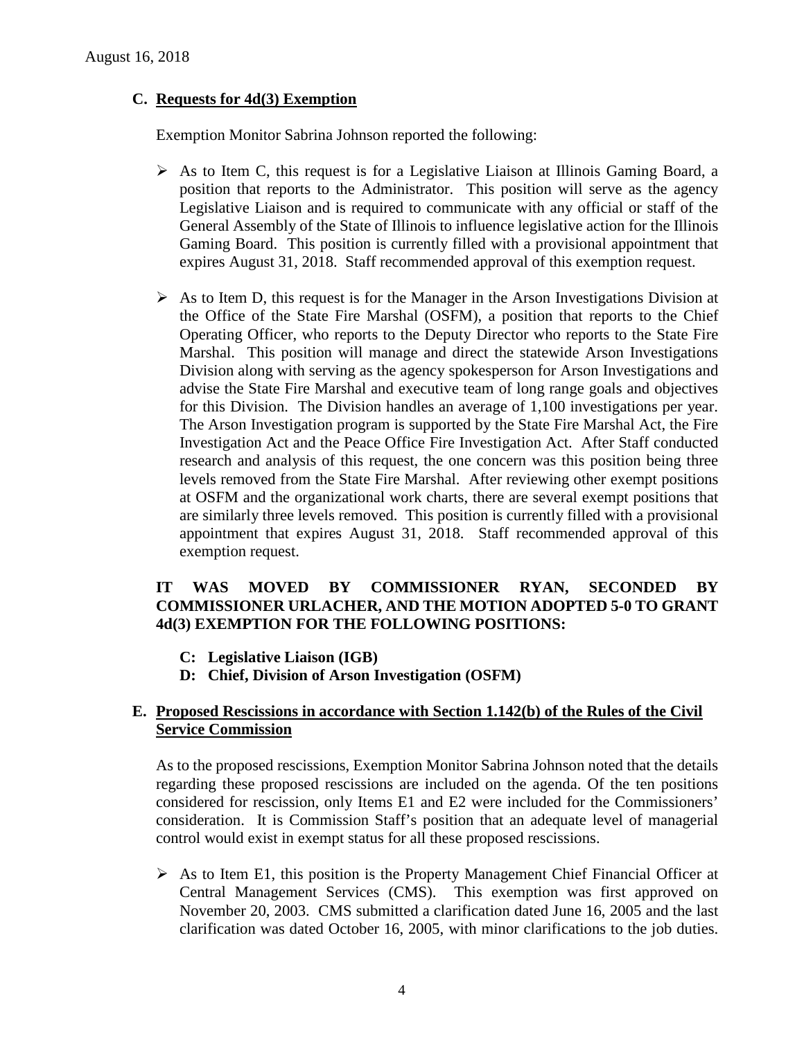# **C. Requests for 4d(3) Exemption**

Exemption Monitor Sabrina Johnson reported the following:

- $\triangleright$  As to Item C, this request is for a Legislative Liaison at Illinois Gaming Board, a position that reports to the Administrator. This position will serve as the agency Legislative Liaison and is required to communicate with any official or staff of the General Assembly of the State of Illinois to influence legislative action for the Illinois Gaming Board. This position is currently filled with a provisional appointment that expires August 31, 2018. Staff recommended approval of this exemption request.
- $\triangleright$  As to Item D, this request is for the Manager in the Arson Investigations Division at the Office of the State Fire Marshal (OSFM), a position that reports to the Chief Operating Officer, who reports to the Deputy Director who reports to the State Fire Marshal. This position will manage and direct the statewide Arson Investigations Division along with serving as the agency spokesperson for Arson Investigations and advise the State Fire Marshal and executive team of long range goals and objectives for this Division. The Division handles an average of 1,100 investigations per year. The Arson Investigation program is supported by the State Fire Marshal Act, the Fire Investigation Act and the Peace Office Fire Investigation Act. After Staff conducted research and analysis of this request, the one concern was this position being three levels removed from the State Fire Marshal. After reviewing other exempt positions at OSFM and the organizational work charts, there are several exempt positions that are similarly three levels removed. This position is currently filled with a provisional appointment that expires August 31, 2018. Staff recommended approval of this exemption request.

# **IT WAS MOVED BY COMMISSIONER RYAN, SECONDED BY COMMISSIONER URLACHER, AND THE MOTION ADOPTED 5-0 TO GRANT 4d(3) EXEMPTION FOR THE FOLLOWING POSITIONS:**

- **C: Legislative Liaison (IGB)**
- **D: Chief, Division of Arson Investigation (OSFM)**

# **E. Proposed Rescissions in accordance with Section 1.142(b) of the Rules of the Civil Service Commission**

As to the proposed rescissions, Exemption Monitor Sabrina Johnson noted that the details regarding these proposed rescissions are included on the agenda. Of the ten positions considered for rescission, only Items E1 and E2 were included for the Commissioners' consideration. It is Commission Staff's position that an adequate level of managerial control would exist in exempt status for all these proposed rescissions.

 $\triangleright$  As to Item E1, this position is the Property Management Chief Financial Officer at Central Management Services (CMS). This exemption was first approved on November 20, 2003. CMS submitted a clarification dated June 16, 2005 and the last clarification was dated October 16, 2005, with minor clarifications to the job duties.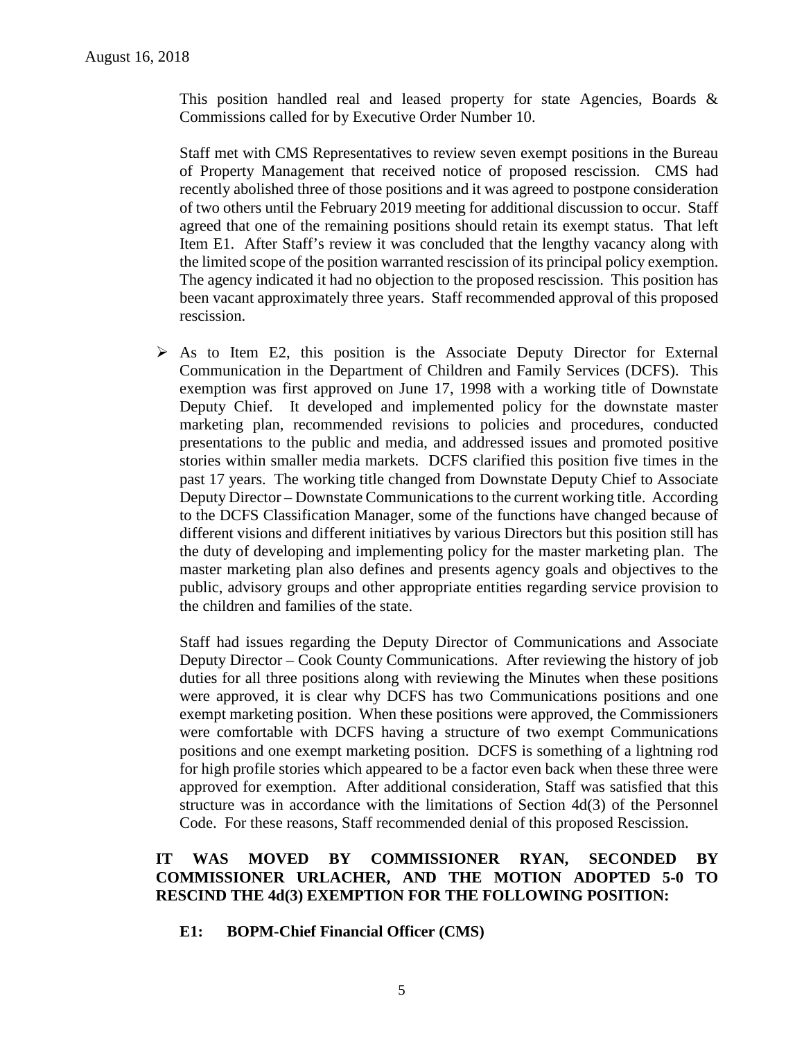This position handled real and leased property for state Agencies, Boards & Commissions called for by Executive Order Number 10.

Staff met with CMS Representatives to review seven exempt positions in the Bureau of Property Management that received notice of proposed rescission. CMS had recently abolished three of those positions and it was agreed to postpone consideration of two others until the February 2019 meeting for additional discussion to occur. Staff agreed that one of the remaining positions should retain its exempt status. That left Item E1. After Staff's review it was concluded that the lengthy vacancy along with the limited scope of the position warranted rescission of its principal policy exemption. The agency indicated it had no objection to the proposed rescission. This position has been vacant approximately three years. Staff recommended approval of this proposed rescission.

 $\triangleright$  As to Item E2, this position is the Associate Deputy Director for External Communication in the Department of Children and Family Services (DCFS). This exemption was first approved on June 17, 1998 with a working title of Downstate Deputy Chief. It developed and implemented policy for the downstate master marketing plan, recommended revisions to policies and procedures, conducted presentations to the public and media, and addressed issues and promoted positive stories within smaller media markets. DCFS clarified this position five times in the past 17 years. The working title changed from Downstate Deputy Chief to Associate Deputy Director – Downstate Communications to the current working title. According to the DCFS Classification Manager, some of the functions have changed because of different visions and different initiatives by various Directors but this position still has the duty of developing and implementing policy for the master marketing plan. The master marketing plan also defines and presents agency goals and objectives to the public, advisory groups and other appropriate entities regarding service provision to the children and families of the state.

Staff had issues regarding the Deputy Director of Communications and Associate Deputy Director – Cook County Communications. After reviewing the history of job duties for all three positions along with reviewing the Minutes when these positions were approved, it is clear why DCFS has two Communications positions and one exempt marketing position. When these positions were approved, the Commissioners were comfortable with DCFS having a structure of two exempt Communications positions and one exempt marketing position. DCFS is something of a lightning rod for high profile stories which appeared to be a factor even back when these three were approved for exemption. After additional consideration, Staff was satisfied that this structure was in accordance with the limitations of Section 4d(3) of the Personnel Code. For these reasons, Staff recommended denial of this proposed Rescission.

# **IT WAS MOVED BY COMMISSIONER RYAN, SECONDED BY COMMISSIONER URLACHER, AND THE MOTION ADOPTED 5-0 TO RESCIND THE 4d(3) EXEMPTION FOR THE FOLLOWING POSITION:**

**E1: BOPM-Chief Financial Officer (CMS)**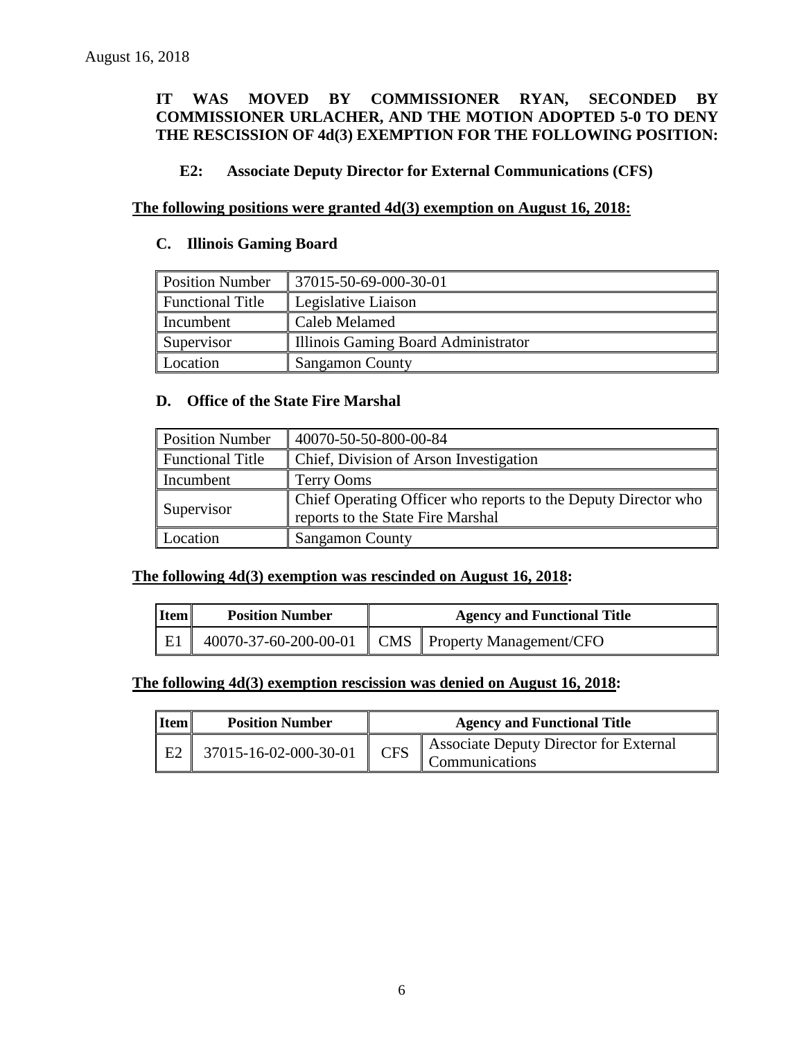# **IT WAS MOVED BY COMMISSIONER RYAN, SECONDED BY COMMISSIONER URLACHER, AND THE MOTION ADOPTED 5-0 TO DENY THE RESCISSION OF 4d(3) EXEMPTION FOR THE FOLLOWING POSITION:**

# **E2: Associate Deputy Director for External Communications (CFS)**

# **The following positions were granted 4d(3) exemption on August 16, 2018:**

#### **C. Illinois Gaming Board**

| <b>Position Number</b>  | $\parallel$ 37015-50-69-000-30-01   |
|-------------------------|-------------------------------------|
| <b>Functional Title</b> | Legislative Liaison                 |
| Incumbent               | Caleb Melamed                       |
| Supervisor              | Illinois Gaming Board Administrator |
| Location                | <b>Sangamon County</b>              |

#### **D. Office of the State Fire Marshal**

| <b>Position Number</b>  | 40070-50-50-800-00-84                                                                               |
|-------------------------|-----------------------------------------------------------------------------------------------------|
| <b>Functional Title</b> | Chief, Division of Arson Investigation                                                              |
| Incumbent               | Terry Ooms                                                                                          |
| Supervisor              | Chief Operating Officer who reports to the Deputy Director who<br>reports to the State Fire Marshal |
| Location                | <b>Sangamon County</b>                                                                              |

### **The following 4d(3) exemption was rescinded on August 16, 2018:**

| <b>I</b> tem | <b>Position Number</b> | <b>Agency and Functional Title</b> |                                                       |
|--------------|------------------------|------------------------------------|-------------------------------------------------------|
| E1           |                        |                                    | 40070-37-60-200-00-01   CMS   Property Management/CFO |

#### **The following 4d(3) exemption rescission was denied on August 16, 2018:**

| Item | <b>Position Number</b> | <b>Agency and Functional Title</b> |                                                          |
|------|------------------------|------------------------------------|----------------------------------------------------------|
| E2   | 37015-16-02-000-30-01  | <b>CFS</b>                         | Associate Deputy Director for External<br>Communications |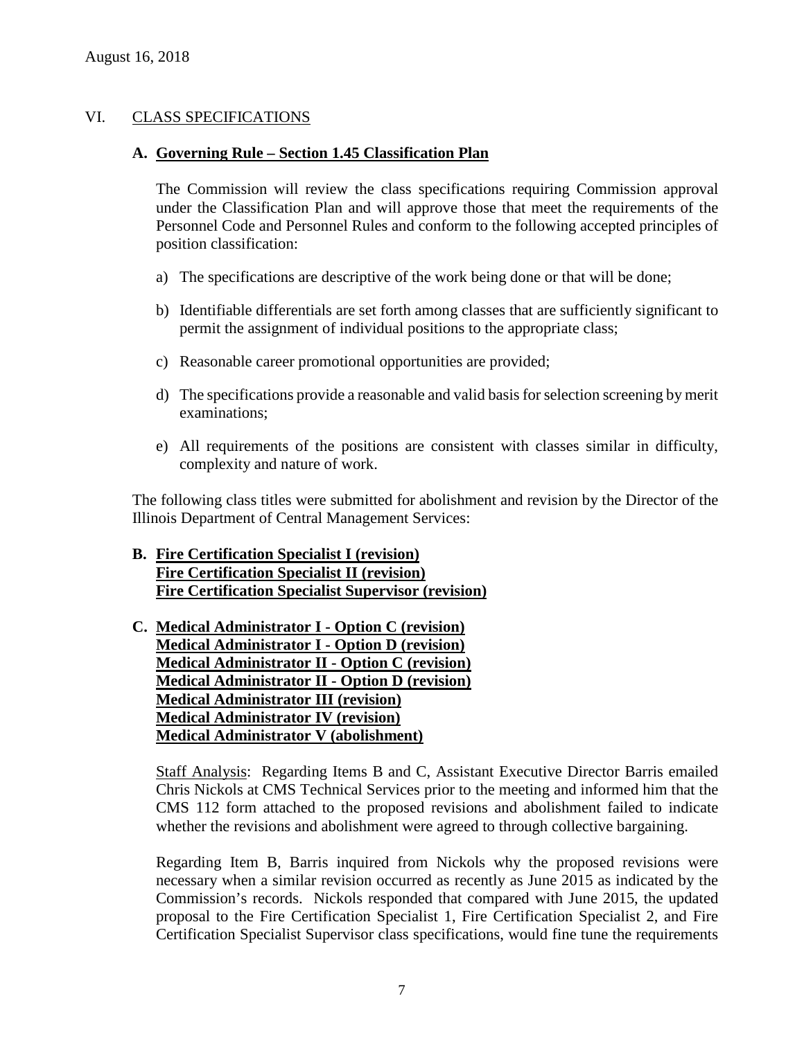# VI. CLASS SPECIFICATIONS

#### **A. Governing Rule – Section 1.45 Classification Plan**

The Commission will review the class specifications requiring Commission approval under the Classification Plan and will approve those that meet the requirements of the Personnel Code and Personnel Rules and conform to the following accepted principles of position classification:

- a) The specifications are descriptive of the work being done or that will be done;
- b) Identifiable differentials are set forth among classes that are sufficiently significant to permit the assignment of individual positions to the appropriate class;
- c) Reasonable career promotional opportunities are provided;
- d) The specifications provide a reasonable and valid basis for selection screening by merit examinations;
- e) All requirements of the positions are consistent with classes similar in difficulty, complexity and nature of work.

The following class titles were submitted for abolishment and revision by the Director of the Illinois Department of Central Management Services:

# **B. Fire Certification Specialist I (revision) Fire Certification Specialist II (revision) Fire Certification Specialist Supervisor (revision)**

# **C. Medical Administrator I - Option C (revision) Medical Administrator I - Option D (revision) Medical Administrator II - Option C (revision) Medical Administrator II - Option D (revision) Medical Administrator III (revision) Medical Administrator IV (revision) Medical Administrator V (abolishment)**

Staff Analysis: Regarding Items B and C, Assistant Executive Director Barris emailed Chris Nickols at CMS Technical Services prior to the meeting and informed him that the CMS 112 form attached to the proposed revisions and abolishment failed to indicate whether the revisions and abolishment were agreed to through collective bargaining.

Regarding Item B, Barris inquired from Nickols why the proposed revisions were necessary when a similar revision occurred as recently as June 2015 as indicated by the Commission's records. Nickols responded that compared with June 2015, the updated proposal to the Fire Certification Specialist 1, Fire Certification Specialist 2, and Fire Certification Specialist Supervisor class specifications, would fine tune the requirements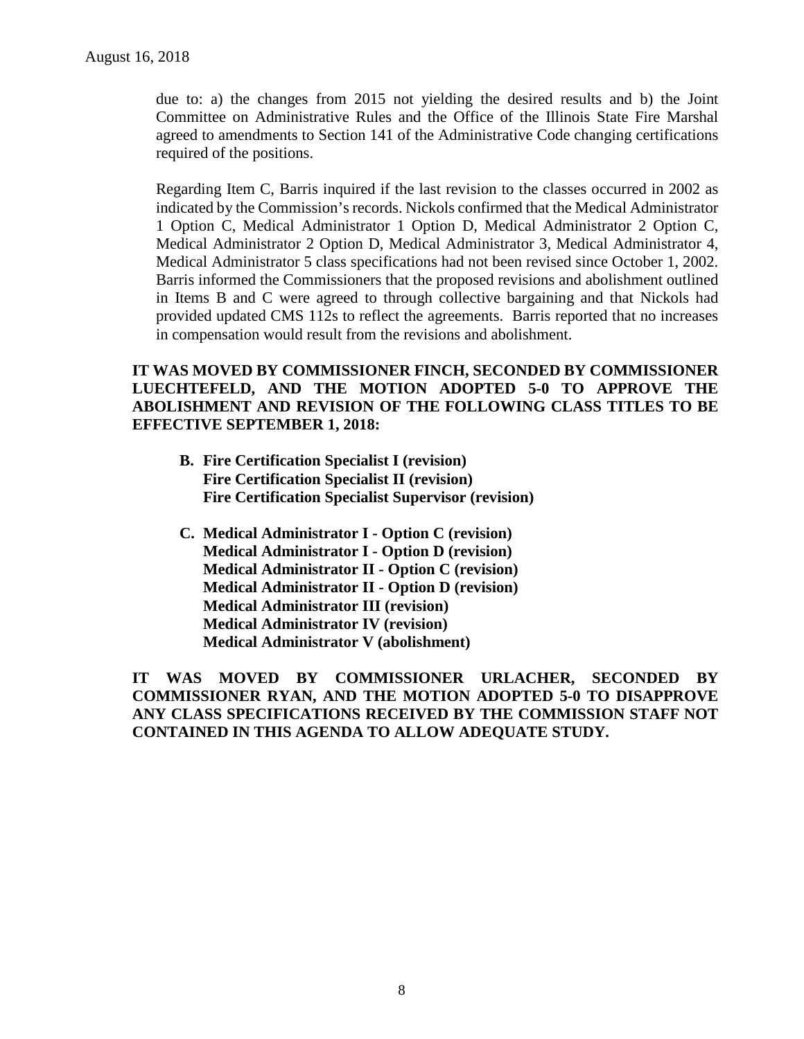due to: a) the changes from 2015 not yielding the desired results and b) the Joint Committee on Administrative Rules and the Office of the Illinois State Fire Marshal agreed to amendments to Section 141 of the Administrative Code changing certifications required of the positions.

Regarding Item C, Barris inquired if the last revision to the classes occurred in 2002 as indicated by the Commission's records. Nickols confirmed that the Medical Administrator 1 Option C, Medical Administrator 1 Option D, Medical Administrator 2 Option C, Medical Administrator 2 Option D, Medical Administrator 3, Medical Administrator 4, Medical Administrator 5 class specifications had not been revised since October 1, 2002. Barris informed the Commissioners that the proposed revisions and abolishment outlined in Items B and C were agreed to through collective bargaining and that Nickols had provided updated CMS 112s to reflect the agreements. Barris reported that no increases in compensation would result from the revisions and abolishment.

# **IT WAS MOVED BY COMMISSIONER FINCH, SECONDED BY COMMISSIONER LUECHTEFELD, AND THE MOTION ADOPTED 5-0 TO APPROVE THE ABOLISHMENT AND REVISION OF THE FOLLOWING CLASS TITLES TO BE EFFECTIVE SEPTEMBER 1, 2018:**

- **B. Fire Certification Specialist I (revision) Fire Certification Specialist II (revision) Fire Certification Specialist Supervisor (revision)**
- **C. Medical Administrator I - Option C (revision) Medical Administrator I - Option D (revision) Medical Administrator II - Option C (revision) Medical Administrator II - Option D (revision) Medical Administrator III (revision) Medical Administrator IV (revision) Medical Administrator V (abolishment)**

**IT WAS MOVED BY COMMISSIONER URLACHER, SECONDED BY COMMISSIONER RYAN, AND THE MOTION ADOPTED 5-0 TO DISAPPROVE ANY CLASS SPECIFICATIONS RECEIVED BY THE COMMISSION STAFF NOT CONTAINED IN THIS AGENDA TO ALLOW ADEQUATE STUDY.**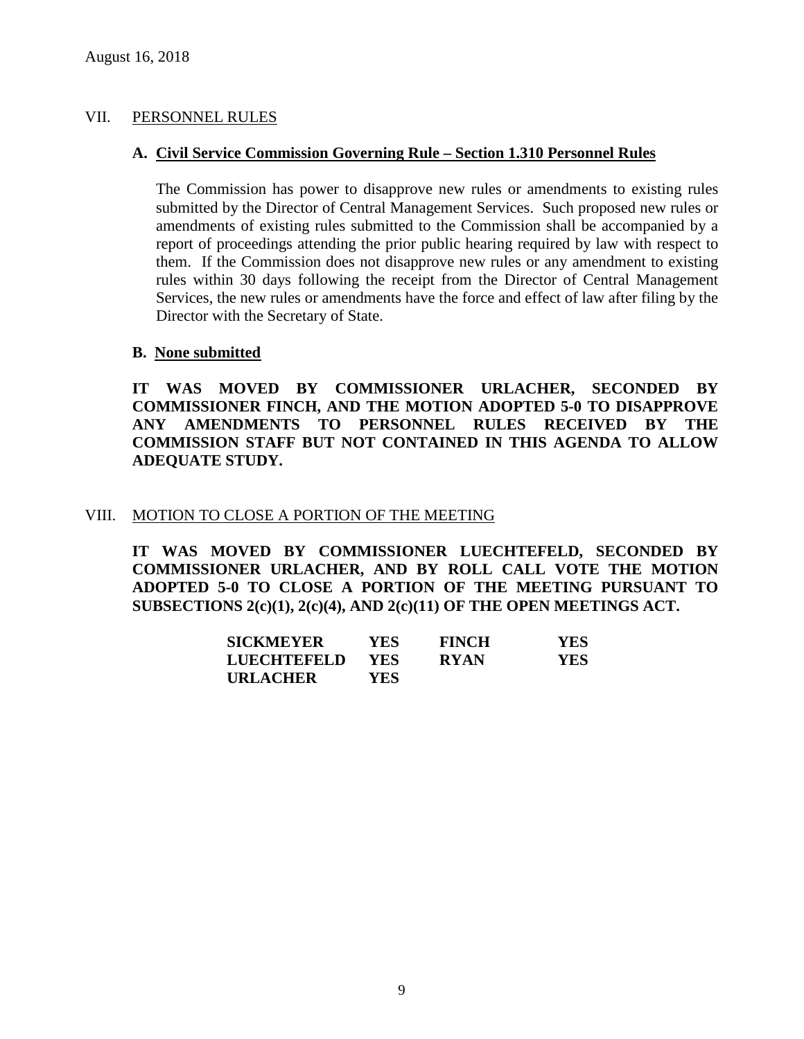## VII. PERSONNEL RULES

### **A. Civil Service Commission Governing Rule – Section 1.310 Personnel Rules**

The Commission has power to disapprove new rules or amendments to existing rules submitted by the Director of Central Management Services. Such proposed new rules or amendments of existing rules submitted to the Commission shall be accompanied by a report of proceedings attending the prior public hearing required by law with respect to them. If the Commission does not disapprove new rules or any amendment to existing rules within 30 days following the receipt from the Director of Central Management Services, the new rules or amendments have the force and effect of law after filing by the Director with the Secretary of State.

# **B. None submitted**

**IT WAS MOVED BY COMMISSIONER URLACHER, SECONDED BY COMMISSIONER FINCH, AND THE MOTION ADOPTED 5-0 TO DISAPPROVE ANY AMENDMENTS TO PERSONNEL RULES RECEIVED BY THE COMMISSION STAFF BUT NOT CONTAINED IN THIS AGENDA TO ALLOW ADEQUATE STUDY.** 

#### VIII. MOTION TO CLOSE A PORTION OF THE MEETING

**IT WAS MOVED BY COMMISSIONER LUECHTEFELD, SECONDED BY COMMISSIONER URLACHER, AND BY ROLL CALL VOTE THE MOTION ADOPTED 5-0 TO CLOSE A PORTION OF THE MEETING PURSUANT TO SUBSECTIONS 2(c)(1), 2(c)(4), AND 2(c)(11) OF THE OPEN MEETINGS ACT.**

| <b>SICKMEYER</b> | YES.       | <b>FINCH</b> | YES. |
|------------------|------------|--------------|------|
| LUECHTEFELD      | <b>YES</b> | <b>RYAN</b>  | YES. |
| <b>URLACHER</b>  | YES.       |              |      |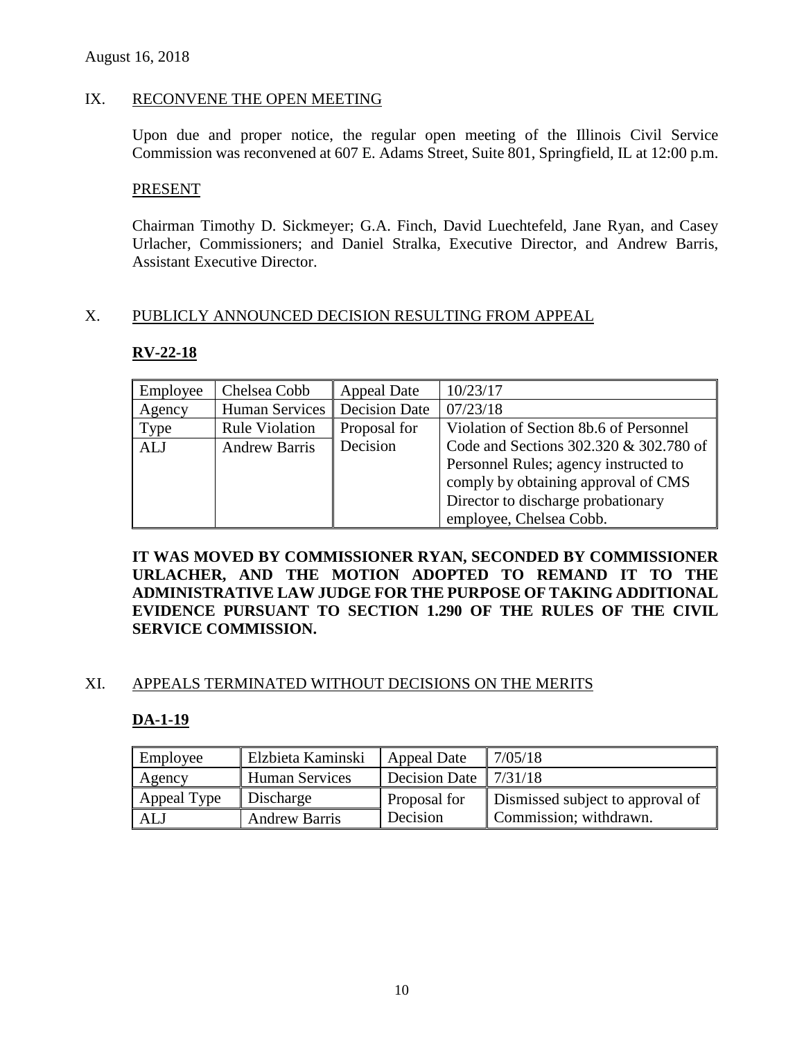# IX. RECONVENE THE OPEN MEETING

Upon due and proper notice, the regular open meeting of the Illinois Civil Service Commission was reconvened at 607 E. Adams Street, Suite 801, Springfield, IL at 12:00 p.m.

#### PRESENT

Chairman Timothy D. Sickmeyer; G.A. Finch, David Luechtefeld, Jane Ryan, and Casey Urlacher, Commissioners; and Daniel Stralka, Executive Director, and Andrew Barris, Assistant Executive Director.

### X. PUBLICLY ANNOUNCED DECISION RESULTING FROM APPEAL

### **RV-22-18**

| Employee   | Chelsea Cobb          | Appeal Date          | 10/23/17                               |
|------------|-----------------------|----------------------|----------------------------------------|
| Agency     | Human Services        | <b>Decision Date</b> | 07/23/18                               |
| Type       | <b>Rule Violation</b> | Proposal for         | Violation of Section 8b.6 of Personnel |
| <b>ALJ</b> | <b>Andrew Barris</b>  | Decision             | Code and Sections 302.320 & 302.780 of |
|            |                       |                      | Personnel Rules; agency instructed to  |
|            |                       |                      | comply by obtaining approval of CMS    |
|            |                       |                      | Director to discharge probationary     |
|            |                       |                      | employee, Chelsea Cobb.                |

**IT WAS MOVED BY COMMISSIONER RYAN, SECONDED BY COMMISSIONER URLACHER, AND THE MOTION ADOPTED TO REMAND IT TO THE ADMINISTRATIVE LAW JUDGE FOR THE PURPOSE OF TAKING ADDITIONAL EVIDENCE PURSUANT TO SECTION 1.290 OF THE RULES OF THE CIVIL SERVICE COMMISSION.** 

### XI. APPEALS TERMINATED WITHOUT DECISIONS ON THE MERITS

### **DA-1-19**

| Employee    | Elzbieta Kaminski    | Appeal Date                  | 7/05/18                          |
|-------------|----------------------|------------------------------|----------------------------------|
| Agency      | Human Services       | Decision Date $\int 7/31/18$ |                                  |
| Appeal Type | Discharge            | Proposal for                 | Dismissed subject to approval of |
| ALJ         | <b>Andrew Barris</b> | Decision                     | Commission; withdrawn.           |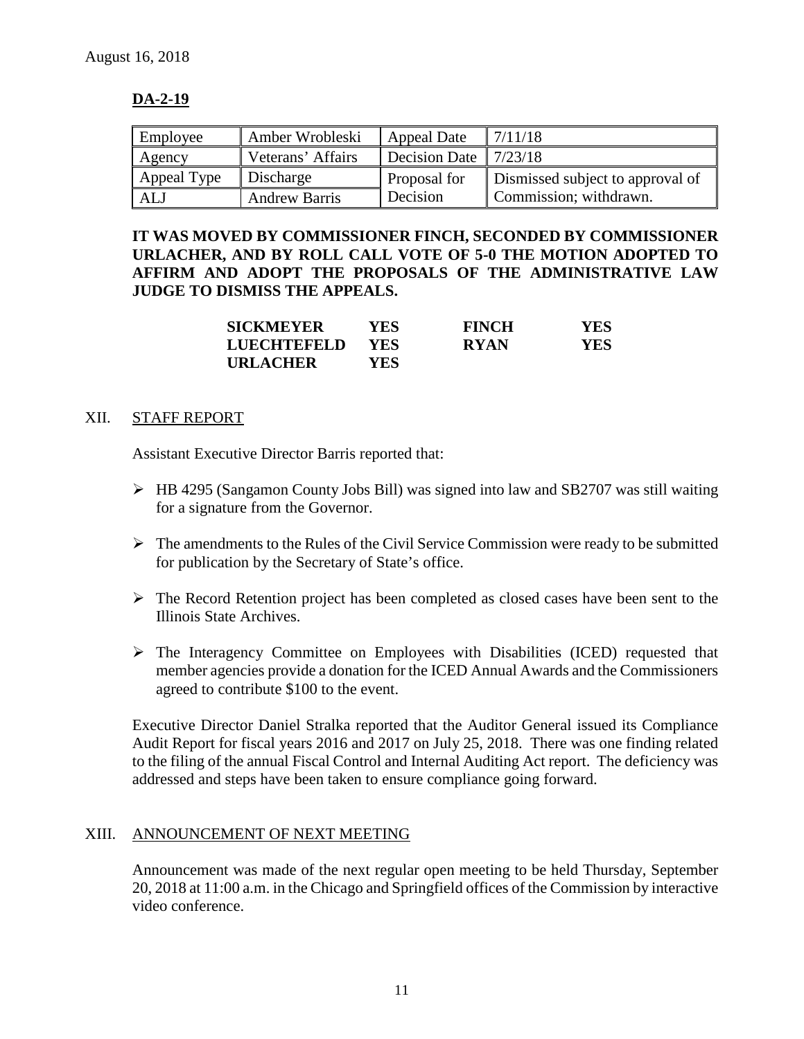# **DA-2-19**

| Employee    | Amber Wrobleski      | Appeal Date   | 7/11/18                          |
|-------------|----------------------|---------------|----------------------------------|
| Agency      | Veterans' Affairs    | Decision Date | 7/23/18                          |
| Appeal Type | Discharge            | Proposal for  | Dismissed subject to approval of |
| ALJ         | <b>Andrew Barris</b> | Decision      | Commission; withdrawn.           |

**IT WAS MOVED BY COMMISSIONER FINCH, SECONDED BY COMMISSIONER URLACHER, AND BY ROLL CALL VOTE OF 5-0 THE MOTION ADOPTED TO AFFIRM AND ADOPT THE PROPOSALS OF THE ADMINISTRATIVE LAW JUDGE TO DISMISS THE APPEALS.**

| <b>SICKMEYER</b> | YES-       | <b>FINCH</b> | YES |
|------------------|------------|--------------|-----|
| LUECHTEFELD      | <b>YES</b> | <b>RYAN</b>  | YES |
| <b>URLACHER</b>  | YES.       |              |     |

# XII. STAFF REPORT

Assistant Executive Director Barris reported that:

- $\triangleright$  HB 4295 (Sangamon County Jobs Bill) was signed into law and SB2707 was still waiting for a signature from the Governor.
- $\triangleright$  The amendments to the Rules of the Civil Service Commission were ready to be submitted for publication by the Secretary of State's office.
- $\triangleright$  The Record Retention project has been completed as closed cases have been sent to the Illinois State Archives.
- $\triangleright$  The Interagency Committee on Employees with Disabilities (ICED) requested that member agencies provide a donation for the ICED Annual Awards and the Commissioners agreed to contribute \$100 to the event.

Executive Director Daniel Stralka reported that the Auditor General issued its Compliance Audit Report for fiscal years 2016 and 2017 on July 25, 2018. There was one finding related to the filing of the annual Fiscal Control and Internal Auditing Act report. The deficiency was addressed and steps have been taken to ensure compliance going forward.

### XIII. ANNOUNCEMENT OF NEXT MEETING

Announcement was made of the next regular open meeting to be held Thursday, September 20, 2018 at 11:00 a.m. in the Chicago and Springfield offices of the Commission by interactive video conference.